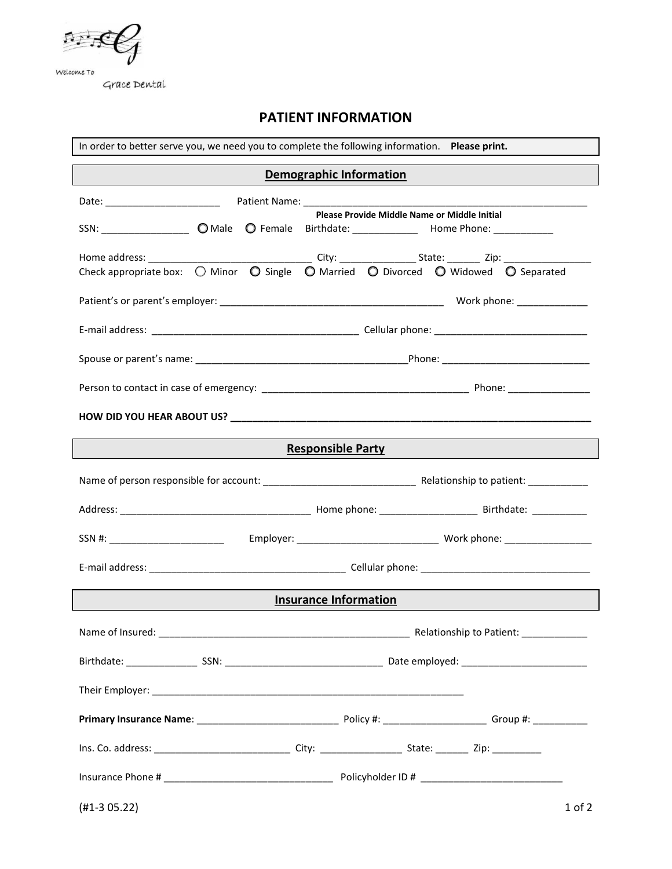

Grace Dental

# **PATIENT INFORMATION**

| In order to better serve you, we need you to complete the following information. Please print. |  |  |  |
|------------------------------------------------------------------------------------------------|--|--|--|
| <b>Demographic Information</b>                                                                 |  |  |  |
|                                                                                                |  |  |  |
| Please Provide Middle Name or Middle Initial                                                   |  |  |  |
|                                                                                                |  |  |  |
|                                                                                                |  |  |  |
|                                                                                                |  |  |  |
|                                                                                                |  |  |  |
|                                                                                                |  |  |  |
|                                                                                                |  |  |  |
|                                                                                                |  |  |  |
|                                                                                                |  |  |  |
| <b>Responsible Party</b>                                                                       |  |  |  |
|                                                                                                |  |  |  |
|                                                                                                |  |  |  |
|                                                                                                |  |  |  |
|                                                                                                |  |  |  |
| <b>Insurance Information</b>                                                                   |  |  |  |
|                                                                                                |  |  |  |
|                                                                                                |  |  |  |
|                                                                                                |  |  |  |
|                                                                                                |  |  |  |
|                                                                                                |  |  |  |
|                                                                                                |  |  |  |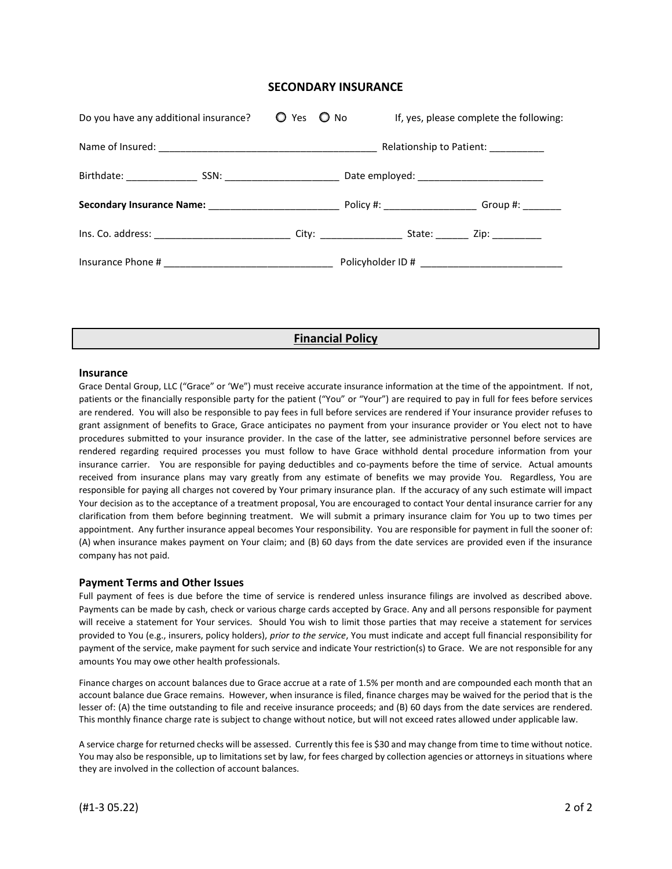### **SECONDARY INSURANCE**

| Do you have any additional insurance? | $O$ Yes $O$ No | If, yes, please complete the following: |  |
|---------------------------------------|----------------|-----------------------------------------|--|
|                                       |                | Relationship to Patient: ___________    |  |
|                                       |                |                                         |  |
|                                       |                |                                         |  |
|                                       |                |                                         |  |
|                                       |                |                                         |  |
|                                       |                |                                         |  |

## **Financial Policy**

#### **Insurance**

Grace Dental Group, LLC ("Grace" or 'We") must receive accurate insurance information at the time of the appointment. If not, patients or the financially responsible party for the patient ("You" or "Your") are required to pay in full for fees before services are rendered. You will also be responsible to pay fees in full before services are rendered if Your insurance provider refuses to grant assignment of benefits to Grace, Grace anticipates no payment from your insurance provider or You elect not to have procedures submitted to your insurance provider. In the case of the latter, see administrative personnel before services are rendered regarding required processes you must follow to have Grace withhold dental procedure information from your insurance carrier. You are responsible for paying deductibles and co-payments before the time of service. Actual amounts received from insurance plans may vary greatly from any estimate of benefits we may provide You. Regardless, You are responsible for paying all charges not covered by Your primary insurance plan. If the accuracy of any such estimate will impact Your decision as to the acceptance of a treatment proposal, You are encouraged to contact Your dental insurance carrier for any clarification from them before beginning treatment. We will submit a primary insurance claim for You up to two times per appointment. Any further insurance appeal becomes Your responsibility. You are responsible for payment in full the sooner of: (A) when insurance makes payment on Your claim; and (B) 60 days from the date services are provided even if the insurance company has not paid.

#### **Payment Terms and Other Issues**

Full payment of fees is due before the time of service is rendered unless insurance filings are involved as described above. Payments can be made by cash, check or various charge cards accepted by Grace. Any and all persons responsible for payment will receive a statement for Your services. Should You wish to limit those parties that may receive a statement for services provided to You (e.g., insurers, policy holders), *prior to the service*, You must indicate and accept full financial responsibility for payment of the service, make payment for such service and indicate Your restriction(s) to Grace. We are not responsible for any amounts You may owe other health professionals.

Finance charges on account balances due to Grace accrue at a rate of 1.5% per month and are compounded each month that an account balance due Grace remains. However, when insurance is filed, finance charges may be waived for the period that is the lesser of: (A) the time outstanding to file and receive insurance proceeds; and (B) 60 days from the date services are rendered. This monthly finance charge rate is subject to change without notice, but will not exceed rates allowed under applicable law.

A service charge for returned checks will be assessed. Currently this fee is \$30 and may change from time to time without notice. You may also be responsible, up to limitations set by law, for fees charged by collection agencies or attorneys in situations where they are involved in the collection of account balances.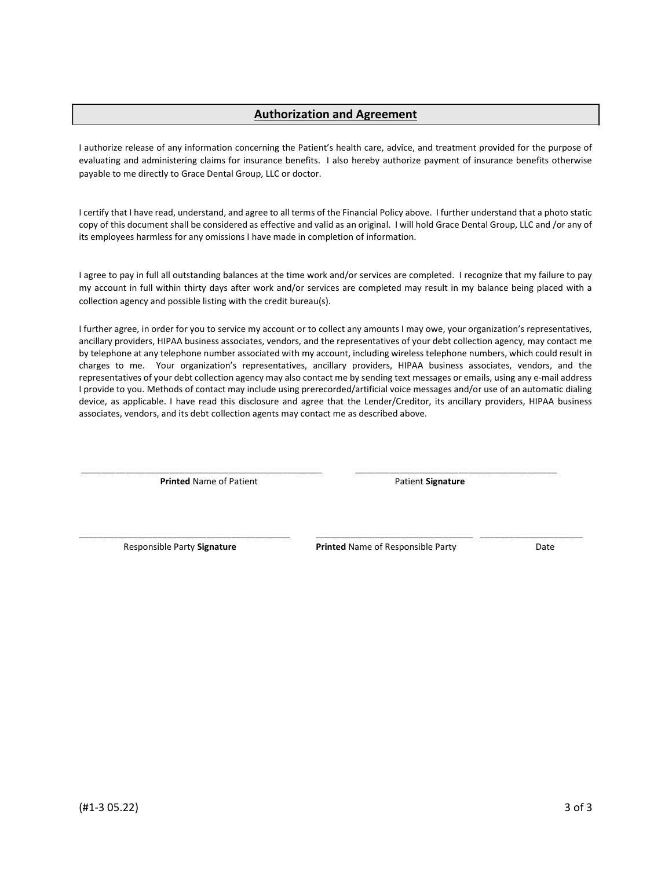## Authorization and Agreement

I authorize release of any information concerning the Patient's health care, advice, and treatment provided for the purpose of evaluating and administering claims for insurance benefits. I also hereby authorize payment of insurance benefits otherwise payable to me directly to Grace Dental Group, LLC or doctor.

I certify that I have read, understand, and agree to all terms of the Financial Policy above. I further understand that a photo static copy of this document shall be considered as effective and valid as an original. I will hold Grace Dental Group, LLC and /or any of its employees harmless for any omissions I have made in completion of information.

I agree to pay in full all outstanding balances at the time work and/or services are completed. I recognize that my failure to pay my account in full within thirty days after work and/or services are completed may result in my balance being placed with a collection agency and possible listing with the credit bureau(s).

I further agree, in order for you to service my account or to collect any amounts I may owe, your organization's representatives, ancillary providers, HIPAA business associates, vendors, and the representatives of your debt collection agency, may contact me by telephone at any telephone number associated with my account, including wireless telephone numbers, which could result in charges to me. Your organization's representatives, ancillary providers, HIPAA business associates, vendors, and the representatives of your debt collection agency may also contact me by sending text messages or emails, using any e-mail address I provide to you. Methods of contact may include using prerecorded/artificial voice messages and/or use of an automatic dialing device, as applicable. I have read this disclosure and agree that the Lender/Creditor, its ancillary providers, HIPAA business associates, vendors, and its debt collection agents may contact me as described above.

\_\_\_\_\_\_\_\_\_\_\_\_\_\_\_\_\_\_\_\_\_\_\_\_\_\_\_\_\_\_\_\_\_\_\_\_\_\_\_\_\_\_\_\_\_\_\_\_\_ \_\_\_\_\_\_\_\_\_\_\_\_\_\_\_\_\_\_\_\_\_\_\_\_\_\_\_\_\_\_\_\_\_\_\_\_\_\_\_\_\_

\_\_\_\_\_\_\_\_\_\_\_\_\_\_\_\_\_\_\_\_\_\_\_\_\_\_\_\_\_\_\_\_\_\_\_\_\_\_\_\_\_\_\_ \_\_\_\_\_\_\_\_\_\_\_\_\_\_\_\_\_\_\_\_\_\_\_\_\_\_\_\_\_\_\_\_ \_\_\_\_\_\_\_\_\_\_\_\_\_\_\_\_\_\_\_\_\_

**Printed Name of Patient Contract Contract Patient Signature** 

Responsible Party Signature **Printed Name of Responsible Party** Date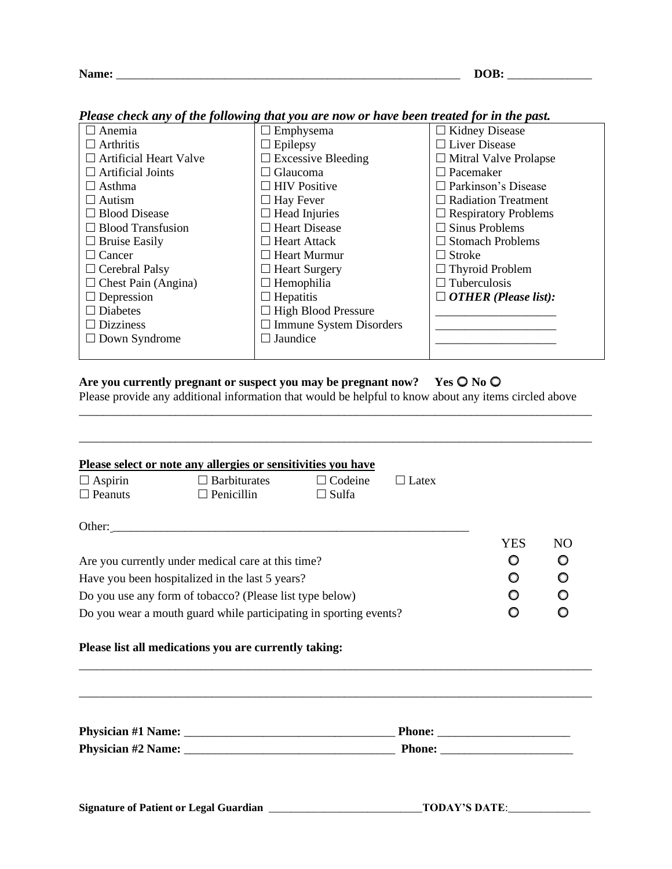## **Name:** \_\_\_\_\_\_\_\_\_\_\_\_\_\_\_\_\_\_\_\_\_\_\_\_\_\_\_\_\_\_\_\_\_\_\_\_\_\_\_\_\_\_\_\_\_\_\_\_\_\_\_\_\_\_\_\_\_ **DOB:** \_\_\_\_\_\_\_\_\_\_\_\_\_\_

| r ieuse check any of the following that you are now or have been treated for in the past. |                                |                              |  |  |  |
|-------------------------------------------------------------------------------------------|--------------------------------|------------------------------|--|--|--|
| $\Box$ Anemia                                                                             | Emphysema                      | $\Box$ Kidney Disease        |  |  |  |
| $\Box$ Arthritis                                                                          | $\Box$ Epilepsy                | $\Box$ Liver Disease         |  |  |  |
| $\Box$ Artificial Heart Valve                                                             | $\Box$ Excessive Bleeding      | $\Box$ Mitral Valve Prolapse |  |  |  |
| $\Box$ Artificial Joints                                                                  | $\Box$ Glaucoma                | $\Box$ Pacemaker             |  |  |  |
| $\Box$ Asthma                                                                             | $\Box$ HIV Positive            | $\Box$ Parkinson's Disease   |  |  |  |
| $\Box$ Autism                                                                             | $\Box$ Hay Fever               | $\Box$ Radiation Treatment   |  |  |  |
| $\Box$ Blood Disease                                                                      | $\Box$ Head Injuries           | $\Box$ Respiratory Problems  |  |  |  |
| $\Box$ Blood Transfusion                                                                  | $\Box$ Heart Disease           | $\Box$ Sinus Problems        |  |  |  |
| $\Box$ Bruise Easily                                                                      | $\Box$ Heart Attack            | $\Box$ Stomach Problems      |  |  |  |
| $\Box$ Cancer                                                                             | $\Box$ Heart Murmur            | $\Box$ Stroke                |  |  |  |
| $\Box$ Cerebral Palsy                                                                     | $\Box$ Heart Surgery           | $\Box$ Thyroid Problem       |  |  |  |
| $\Box$ Chest Pain (Angina)                                                                | $\Box$ Hemophilia              | $\Box$ Tuberculosis          |  |  |  |
| $\Box$ Depression                                                                         | $\Box$ Hepatitis               | $\Box$ OTHER (Please list):  |  |  |  |
| $\Box$ Diabetes                                                                           | $\Box$ High Blood Pressure     |                              |  |  |  |
| $\Box$ Dizziness                                                                          | $\Box$ Immune System Disorders |                              |  |  |  |
| $\Box$ Down Syndrome                                                                      | $\Box$ Jaundice                |                              |  |  |  |
|                                                                                           |                                |                              |  |  |  |

*Please check any of the following that you are now or have been treated for in the past.*

## Are you currently pregnant or suspect you may be pregnant now? Yes  $\bigcirc$  No  $\bigcirc$

Please provide any additional information that would be helpful to know about any items circled above

\_\_\_\_\_\_\_\_\_\_\_\_\_\_\_\_\_\_\_\_\_\_\_\_\_\_\_\_\_\_\_\_\_\_\_\_\_\_\_\_\_\_\_\_\_\_\_\_\_\_\_\_\_\_\_\_\_\_\_\_\_\_\_\_\_\_\_\_\_\_\_\_\_\_\_\_\_\_\_\_\_\_\_\_\_

\_\_\_\_\_\_\_\_\_\_\_\_\_\_\_\_\_\_\_\_\_\_\_\_\_\_\_\_\_\_\_\_\_\_\_\_\_\_\_\_\_\_\_\_\_\_\_\_\_\_\_\_\_\_\_\_\_\_\_\_\_\_\_\_\_\_\_\_\_\_\_\_\_\_\_\_\_\_\_\_\_\_\_\_\_

|                                                                   | Please select or note any allergies or sensitivities you have |                |              |                         |                |
|-------------------------------------------------------------------|---------------------------------------------------------------|----------------|--------------|-------------------------|----------------|
| $\Box$ Aspirin                                                    | $\Box$ Barbiturates                                           | $\Box$ Codeine | $\Box$ Latex |                         |                |
| $\Box$ Peanuts                                                    | $\Box$ Penicillin                                             | $\Box$ Sulfa   |              |                         |                |
|                                                                   |                                                               |                |              |                         |                |
|                                                                   |                                                               |                |              | <b>YES</b>              | N <sub>O</sub> |
|                                                                   | Are you currently under medical care at this time?            |                |              | O                       | O              |
| Have you been hospitalized in the last 5 years?                   |                                                               |                |              | O                       | $\circ$        |
| Do you use any form of tobacco? (Please list type below)          |                                                               |                |              | O                       | $\circ$        |
| Do you wear a mouth guard while participating in sporting events? |                                                               |                | O            | O                       |                |
|                                                                   | Please list all medications you are currently taking:         |                |              |                         |                |
|                                                                   |                                                               |                |              |                         |                |
|                                                                   |                                                               |                |              |                         |                |
|                                                                   |                                                               |                |              |                         |                |
|                                                                   |                                                               |                |              |                         |                |
|                                                                   |                                                               |                |              | TODAY'S DATE:__________ |                |